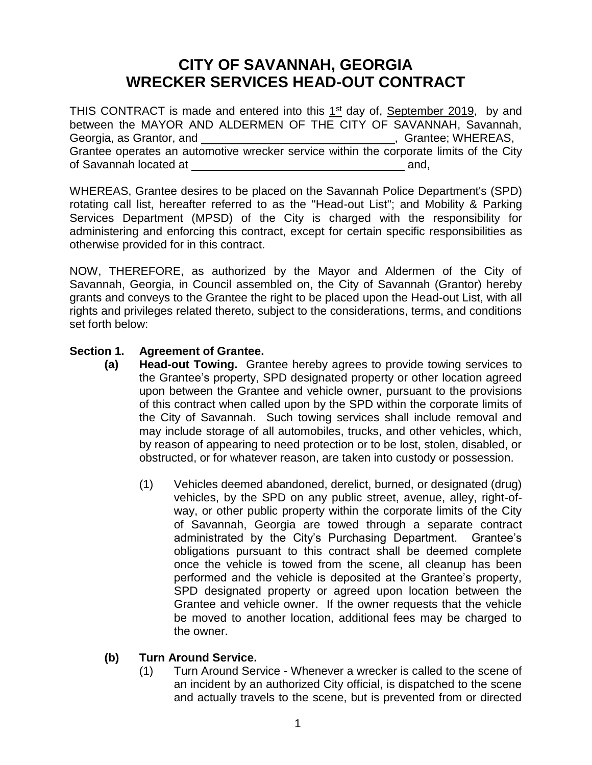# **CITY OF SAVANNAH, GEORGIA WRECKER SERVICES HEAD-OUT CONTRACT**

THIS CONTRACT is made and entered into this  $1<sup>st</sup>$  day of, September 2019, by and between the MAYOR AND ALDERMEN OF THE CITY OF SAVANNAH, Savannah, Georgia, as Grantor, and \_\_\_\_\_\_\_\_\_\_\_\_\_\_\_\_\_\_\_\_\_\_\_\_\_\_\_\_\_\_\_\_\_, Grantee; WHEREAS, Grantee operates an automotive wrecker service within the corporate limits of the City of Savannah located at \_\_\_\_\_\_\_\_\_\_\_\_\_\_\_\_\_\_\_\_\_\_\_\_\_\_\_\_\_\_\_\_\_ and,

WHEREAS, Grantee desires to be placed on the Savannah Police Department's (SPD) rotating call list, hereafter referred to as the "Head-out List"; and Mobility & Parking Services Department (MPSD) of the City is charged with the responsibility for administering and enforcing this contract, except for certain specific responsibilities as otherwise provided for in this contract.

NOW, THEREFORE, as authorized by the Mayor and Aldermen of the City of Savannah, Georgia, in Council assembled on, the City of Savannah (Grantor) hereby grants and conveys to the Grantee the right to be placed upon the Head-out List, with all rights and privileges related thereto, subject to the considerations, terms, and conditions set forth below:

## **Section 1. Agreement of Grantee.**

- **(a) Head-out Towing.** Grantee hereby agrees to provide towing services to the Grantee's property, SPD designated property or other location agreed upon between the Grantee and vehicle owner, pursuant to the provisions of this contract when called upon by the SPD within the corporate limits of the City of Savannah. Such towing services shall include removal and may include storage of all automobiles, trucks, and other vehicles, which, by reason of appearing to need protection or to be lost, stolen, disabled, or obstructed, or for whatever reason, are taken into custody or possession.
	- (1) Vehicles deemed abandoned, derelict, burned, or designated (drug) vehicles, by the SPD on any public street, avenue, alley, right-ofway, or other public property within the corporate limits of the City of Savannah, Georgia are towed through a separate contract administrated by the City's Purchasing Department. Grantee's obligations pursuant to this contract shall be deemed complete once the vehicle is towed from the scene, all cleanup has been performed and the vehicle is deposited at the Grantee's property, SPD designated property or agreed upon location between the Grantee and vehicle owner. If the owner requests that the vehicle be moved to another location, additional fees may be charged to the owner.

# **(b) Turn Around Service.**

(1) Turn Around Service - Whenever a wrecker is called to the scene of an incident by an authorized City official, is dispatched to the scene and actually travels to the scene, but is prevented from or directed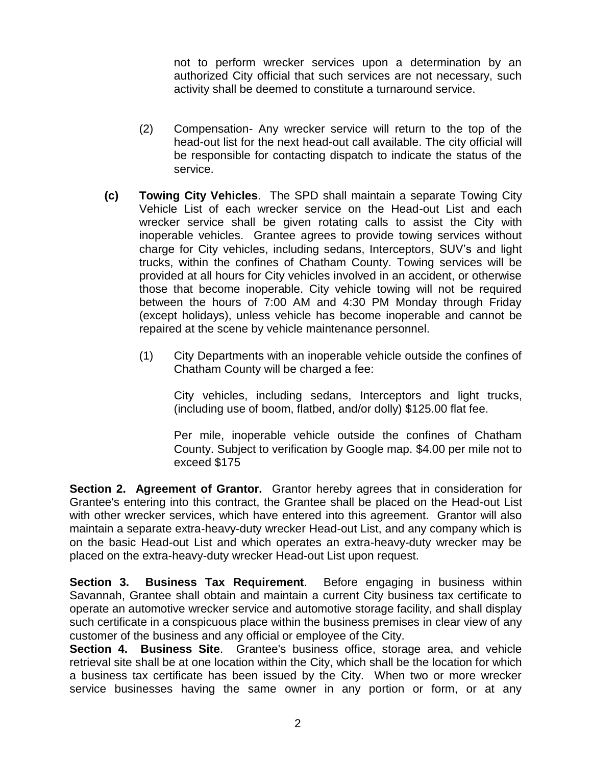not to perform wrecker services upon a determination by an authorized City official that such services are not necessary, such activity shall be deemed to constitute a turnaround service.

- (2) Compensation- Any wrecker service will return to the top of the head-out list for the next head-out call available. The city official will be responsible for contacting dispatch to indicate the status of the service.
- **(c) Towing City Vehicles**. The SPD shall maintain a separate Towing City Vehicle List of each wrecker service on the Head-out List and each wrecker service shall be given rotating calls to assist the City with inoperable vehicles. Grantee agrees to provide towing services without charge for City vehicles, including sedans, Interceptors, SUV's and light trucks, within the confines of Chatham County. Towing services will be provided at all hours for City vehicles involved in an accident, or otherwise those that become inoperable. City vehicle towing will not be required between the hours of 7:00 AM and 4:30 PM Monday through Friday (except holidays), unless vehicle has become inoperable and cannot be repaired at the scene by vehicle maintenance personnel.
	- (1) City Departments with an inoperable vehicle outside the confines of Chatham County will be charged a fee:

City vehicles, including sedans, Interceptors and light trucks, (including use of boom, flatbed, and/or dolly) \$125.00 flat fee.

Per mile, inoperable vehicle outside the confines of Chatham County. Subject to verification by Google map. \$4.00 per mile not to exceed \$175

**Section 2. Agreement of Grantor.** Grantor hereby agrees that in consideration for Grantee's entering into this contract, the Grantee shall be placed on the Head-out List with other wrecker services, which have entered into this agreement. Grantor will also maintain a separate extra-heavy-duty wrecker Head-out List, and any company which is on the basic Head-out List and which operates an extra-heavy-duty wrecker may be placed on the extra-heavy-duty wrecker Head-out List upon request.

**Section 3. Business Tax Requirement**. Before engaging in business within Savannah, Grantee shall obtain and maintain a current City business tax certificate to operate an automotive wrecker service and automotive storage facility, and shall display such certificate in a conspicuous place within the business premises in clear view of any customer of the business and any official or employee of the City.

**Section 4. Business Site**. Grantee's business office, storage area, and vehicle retrieval site shall be at one location within the City, which shall be the location for which a business tax certificate has been issued by the City. When two or more wrecker service businesses having the same owner in any portion or form, or at any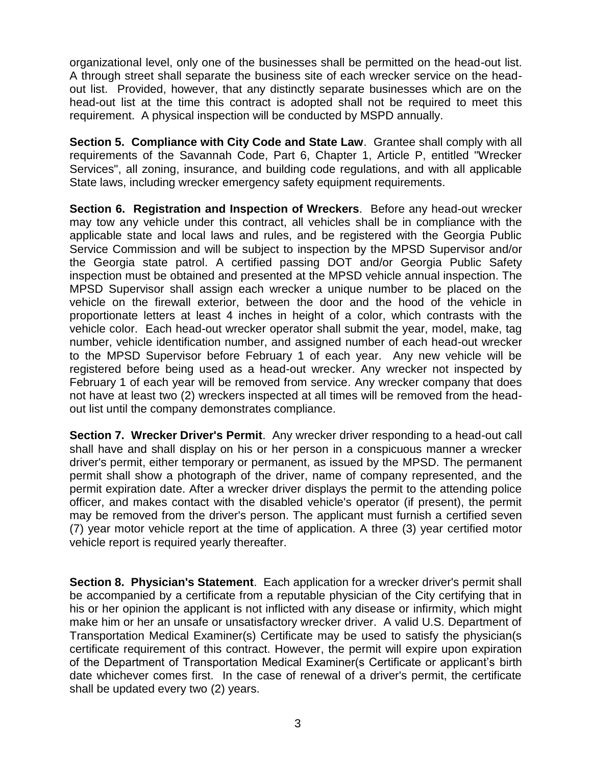organizational level, only one of the businesses shall be permitted on the head-out list. A through street shall separate the business site of each wrecker service on the headout list. Provided, however, that any distinctly separate businesses which are on the head-out list at the time this contract is adopted shall not be required to meet this requirement. A physical inspection will be conducted by MSPD annually.

**Section 5. Compliance with City Code and State Law**. Grantee shall comply with all requirements of the Savannah Code, Part 6, Chapter 1, Article P, entitled "Wrecker Services", all zoning, insurance, and building code regulations, and with all applicable State laws, including wrecker emergency safety equipment requirements.

**Section 6. Registration and Inspection of Wreckers**. Before any head-out wrecker may tow any vehicle under this contract, all vehicles shall be in compliance with the applicable state and local laws and rules, and be registered with the Georgia Public Service Commission and will be subject to inspection by the MPSD Supervisor and/or the Georgia state patrol. A certified passing DOT and/or Georgia Public Safety inspection must be obtained and presented at the MPSD vehicle annual inspection. The MPSD Supervisor shall assign each wrecker a unique number to be placed on the vehicle on the firewall exterior, between the door and the hood of the vehicle in proportionate letters at least 4 inches in height of a color, which contrasts with the vehicle color. Each head-out wrecker operator shall submit the year, model, make, tag number, vehicle identification number, and assigned number of each head-out wrecker to the MPSD Supervisor before February 1 of each year. Any new vehicle will be registered before being used as a head-out wrecker. Any wrecker not inspected by February 1 of each year will be removed from service. Any wrecker company that does not have at least two (2) wreckers inspected at all times will be removed from the headout list until the company demonstrates compliance.

**Section 7. Wrecker Driver's Permit**. Any wrecker driver responding to a head-out call shall have and shall display on his or her person in a conspicuous manner a wrecker driver's permit, either temporary or permanent, as issued by the MPSD. The permanent permit shall show a photograph of the driver, name of company represented, and the permit expiration date. After a wrecker driver displays the permit to the attending police officer, and makes contact with the disabled vehicle's operator (if present), the permit may be removed from the driver's person. The applicant must furnish a certified seven (7) year motor vehicle report at the time of application. A three (3) year certified motor vehicle report is required yearly thereafter.

**Section 8. Physician's Statement**. Each application for a wrecker driver's permit shall be accompanied by a certificate from a reputable physician of the City certifying that in his or her opinion the applicant is not inflicted with any disease or infirmity, which might make him or her an unsafe or unsatisfactory wrecker driver. A valid U.S. Department of Transportation Medical Examiner(s) Certificate may be used to satisfy the physician(s certificate requirement of this contract. However, the permit will expire upon expiration of the Department of Transportation Medical Examiner(s Certificate or applicant's birth date whichever comes first. In the case of renewal of a driver's permit, the certificate shall be updated every two (2) years.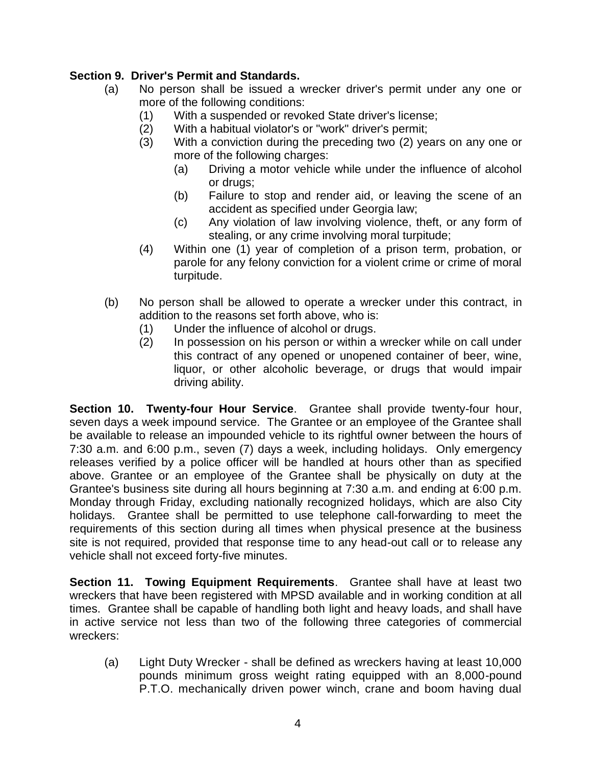# **Section 9. Driver's Permit and Standards.**

- (a) No person shall be issued a wrecker driver's permit under any one or more of the following conditions:
	- (1) With a suspended or revoked State driver's license;
	- (2) With a habitual violator's or "work" driver's permit;
	- (3) With a conviction during the preceding two (2) years on any one or more of the following charges:
		- (a) Driving a motor vehicle while under the influence of alcohol or drugs;
		- (b) Failure to stop and render aid, or leaving the scene of an accident as specified under Georgia law;
		- (c) Any violation of law involving violence, theft, or any form of stealing, or any crime involving moral turpitude;
	- (4) Within one (1) year of completion of a prison term, probation, or parole for any felony conviction for a violent crime or crime of moral turpitude.
- (b) No person shall be allowed to operate a wrecker under this contract, in addition to the reasons set forth above, who is:
	- (1) Under the influence of alcohol or drugs.
	- (2) In possession on his person or within a wrecker while on call under this contract of any opened or unopened container of beer, wine, liquor, or other alcoholic beverage, or drugs that would impair driving ability.

**Section 10. Twenty-four Hour Service**. Grantee shall provide twenty-four hour, seven days a week impound service. The Grantee or an employee of the Grantee shall be available to release an impounded vehicle to its rightful owner between the hours of 7:30 a.m. and 6:00 p.m., seven (7) days a week, including holidays. Only emergency releases verified by a police officer will be handled at hours other than as specified above. Grantee or an employee of the Grantee shall be physically on duty at the Grantee's business site during all hours beginning at 7:30 a.m. and ending at 6:00 p.m. Monday through Friday, excluding nationally recognized holidays, which are also City holidays. Grantee shall be permitted to use telephone call-forwarding to meet the requirements of this section during all times when physical presence at the business site is not required, provided that response time to any head-out call or to release any vehicle shall not exceed forty-five minutes.

**Section 11. Towing Equipment Requirements**. Grantee shall have at least two wreckers that have been registered with MPSD available and in working condition at all times. Grantee shall be capable of handling both light and heavy loads, and shall have in active service not less than two of the following three categories of commercial wreckers:

(a) Light Duty Wrecker - shall be defined as wreckers having at least 10,000 pounds minimum gross weight rating equipped with an 8,000-pound P.T.O. mechanically driven power winch, crane and boom having dual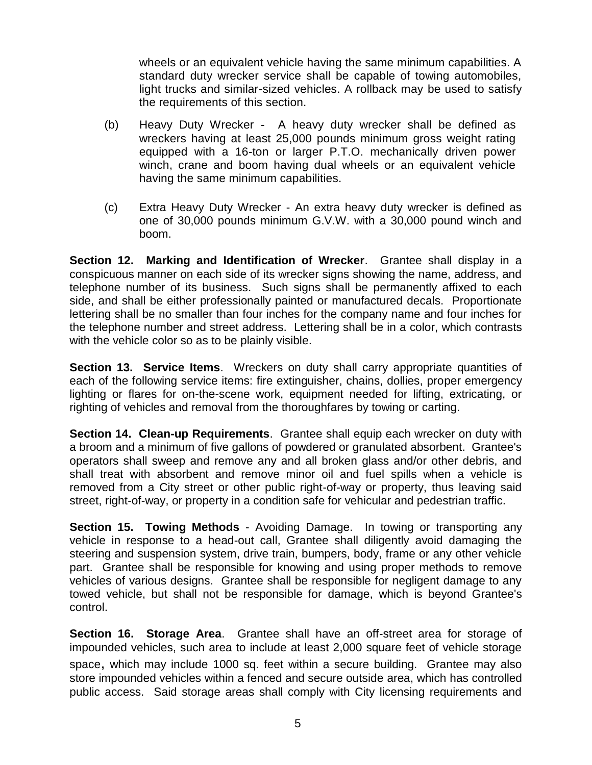wheels or an equivalent vehicle having the same minimum capabilities. A standard duty wrecker service shall be capable of towing automobiles, light trucks and similar-sized vehicles. A rollback may be used to satisfy the requirements of this section.

- (b) Heavy Duty Wrecker A heavy duty wrecker shall be defined as wreckers having at least 25,000 pounds minimum gross weight rating equipped with a 16-ton or larger P.T.O. mechanically driven power winch, crane and boom having dual wheels or an equivalent vehicle having the same minimum capabilities.
- (c) Extra Heavy Duty Wrecker An extra heavy duty wrecker is defined as one of 30,000 pounds minimum G.V.W. with a 30,000 pound winch and boom.

**Section 12. Marking and Identification of Wrecker**. Grantee shall display in a conspicuous manner on each side of its wrecker signs showing the name, address, and telephone number of its business. Such signs shall be permanently affixed to each side, and shall be either professionally painted or manufactured decals. Proportionate lettering shall be no smaller than four inches for the company name and four inches for the telephone number and street address. Lettering shall be in a color, which contrasts with the vehicle color so as to be plainly visible.

**Section 13. Service Items**. Wreckers on duty shall carry appropriate quantities of each of the following service items: fire extinguisher, chains, dollies, proper emergency lighting or flares for on-the-scene work, equipment needed for lifting, extricating, or righting of vehicles and removal from the thoroughfares by towing or carting.

**Section 14. Clean-up Requirements**. Grantee shall equip each wrecker on duty with a broom and a minimum of five gallons of powdered or granulated absorbent. Grantee's operators shall sweep and remove any and all broken glass and/or other debris, and shall treat with absorbent and remove minor oil and fuel spills when a vehicle is removed from a City street or other public right-of-way or property, thus leaving said street, right-of-way, or property in a condition safe for vehicular and pedestrian traffic.

**Section 15. Towing Methods** - Avoiding Damage. In towing or transporting any vehicle in response to a head-out call, Grantee shall diligently avoid damaging the steering and suspension system, drive train, bumpers, body, frame or any other vehicle part. Grantee shall be responsible for knowing and using proper methods to remove vehicles of various designs. Grantee shall be responsible for negligent damage to any towed vehicle, but shall not be responsible for damage, which is beyond Grantee's control.

**Section 16. Storage Area**. Grantee shall have an off-street area for storage of impounded vehicles, such area to include at least 2,000 square feet of vehicle storage space, which may include 1000 sq. feet within a secure building. Grantee may also store impounded vehicles within a fenced and secure outside area, which has controlled public access. Said storage areas shall comply with City licensing requirements and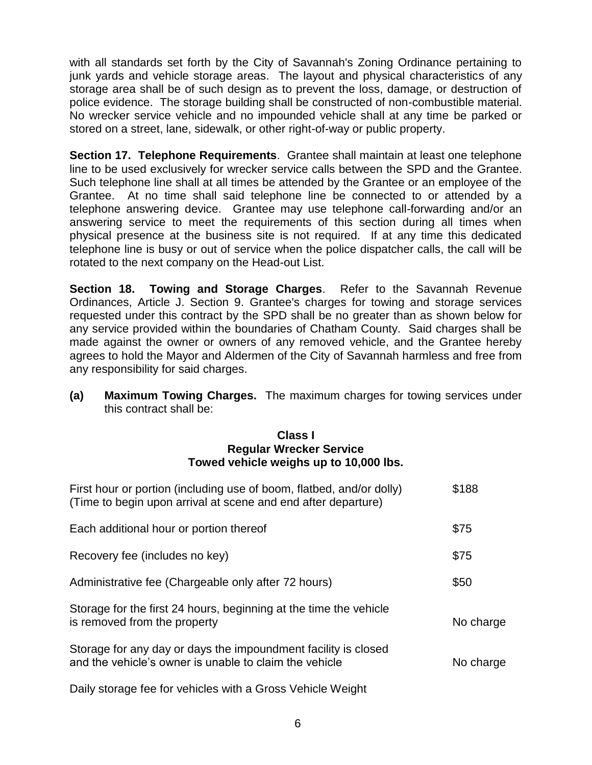with all standards set forth by the City of Savannah's Zoning Ordinance pertaining to junk yards and vehicle storage areas. The layout and physical characteristics of any storage area shall be of such design as to prevent the loss, damage, or destruction of police evidence. The storage building shall be constructed of non-combustible material. No wrecker service vehicle and no impounded vehicle shall at any time be parked or stored on a street, lane, sidewalk, or other right-of-way or public property.

**Section 17. Telephone Requirements**. Grantee shall maintain at least one telephone line to be used exclusively for wrecker service calls between the SPD and the Grantee. Such telephone line shall at all times be attended by the Grantee or an employee of the Grantee. At no time shall said telephone line be connected to or attended by a telephone answering device. Grantee may use telephone call-forwarding and/or an answering service to meet the requirements of this section during all times when physical presence at the business site is not required. If at any time this dedicated telephone line is busy or out of service when the police dispatcher calls, the call will be rotated to the next company on the Head-out List.

**Section 18. Towing and Storage Charges**. Refer to the Savannah Revenue Ordinances, Article J. Section 9. Grantee's charges for towing and storage services requested under this contract by the SPD shall be no greater than as shown below for any service provided within the boundaries of Chatham County. Said charges shall be made against the owner or owners of any removed vehicle, and the Grantee hereby agrees to hold the Mayor and Aldermen of the City of Savannah harmless and free from any responsibility for said charges.

**(a) Maximum Towing Charges.** The maximum charges for towing services under this contract shall be:

#### **Class I Regular Wrecker Service Towed vehicle weighs up to 10,000 lbs.**

| First hour or portion (including use of boom, flatbed, and/or dolly)<br>(Time to begin upon arrival at scene and end after departure) | \$188     |
|---------------------------------------------------------------------------------------------------------------------------------------|-----------|
| Each additional hour or portion thereof                                                                                               | \$75      |
| Recovery fee (includes no key)                                                                                                        | \$75      |
| Administrative fee (Chargeable only after 72 hours)                                                                                   | \$50      |
| Storage for the first 24 hours, beginning at the time the vehicle<br>is removed from the property                                     | No charge |
| Storage for any day or days the impoundment facility is closed<br>and the vehicle's owner is unable to claim the vehicle              | No charge |
| Daily storage fee for vehicles with a Gross Vehicle Weight                                                                            |           |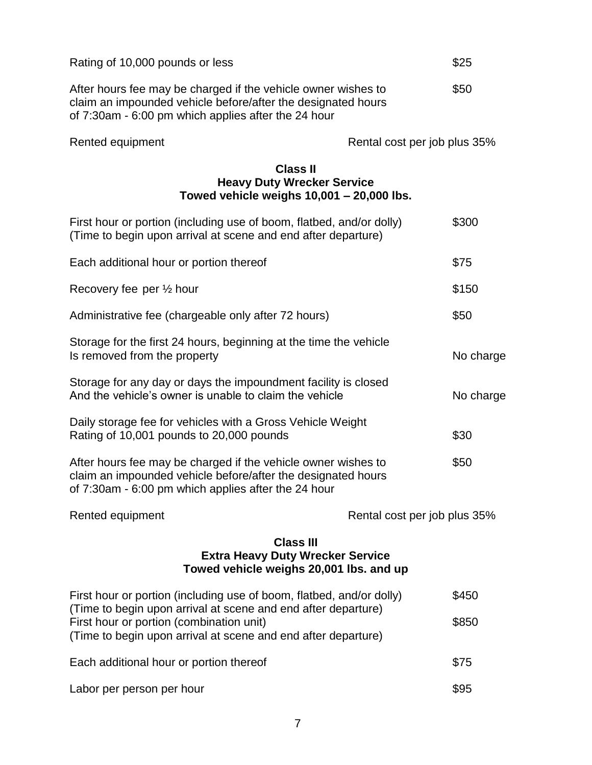| Rating of 10,000 pounds or less                                                                                                                                                                                                                    |                              | \$25           |  |
|----------------------------------------------------------------------------------------------------------------------------------------------------------------------------------------------------------------------------------------------------|------------------------------|----------------|--|
| After hours fee may be charged if the vehicle owner wishes to<br>claim an impounded vehicle before/after the designated hours<br>of 7:30am - 6:00 pm which applies after the 24 hour                                                               |                              | \$50           |  |
| Rented equipment                                                                                                                                                                                                                                   | Rental cost per job plus 35% |                |  |
| <b>Class II</b><br><b>Heavy Duty Wrecker Service</b><br>Towed vehicle weighs $10,001 - 20,000$ lbs.                                                                                                                                                |                              |                |  |
| First hour or portion (including use of boom, flatbed, and/or dolly)<br>(Time to begin upon arrival at scene and end after departure)                                                                                                              |                              | \$300          |  |
| Each additional hour or portion thereof                                                                                                                                                                                                            |                              | \$75           |  |
| Recovery fee per 1/2 hour                                                                                                                                                                                                                          |                              | \$150          |  |
| Administrative fee (chargeable only after 72 hours)                                                                                                                                                                                                |                              | \$50           |  |
| Storage for the first 24 hours, beginning at the time the vehicle<br>Is removed from the property                                                                                                                                                  |                              | No charge      |  |
| Storage for any day or days the impoundment facility is closed<br>And the vehicle's owner is unable to claim the vehicle                                                                                                                           |                              | No charge      |  |
| Daily storage fee for vehicles with a Gross Vehicle Weight<br>Rating of 10,001 pounds to 20,000 pounds                                                                                                                                             |                              | \$30           |  |
| After hours fee may be charged if the vehicle owner wishes to<br>claim an impounded vehicle before/after the designated hours<br>of 7:30am - 6:00 pm which applies after the 24 hour                                                               |                              | \$50           |  |
| Rented equipment                                                                                                                                                                                                                                   | Rental cost per job plus 35% |                |  |
| <b>Class III</b><br><b>Extra Heavy Duty Wrecker Service</b><br>Towed vehicle weighs 20,001 lbs. and up                                                                                                                                             |                              |                |  |
| First hour or portion (including use of boom, flatbed, and/or dolly)<br>(Time to begin upon arrival at scene and end after departure)<br>First hour or portion (combination unit)<br>(Time to begin upon arrival at scene and end after departure) |                              | \$450<br>\$850 |  |
| Each additional hour or portion thereof                                                                                                                                                                                                            |                              | \$75           |  |
| Labor per person per hour                                                                                                                                                                                                                          |                              | \$95           |  |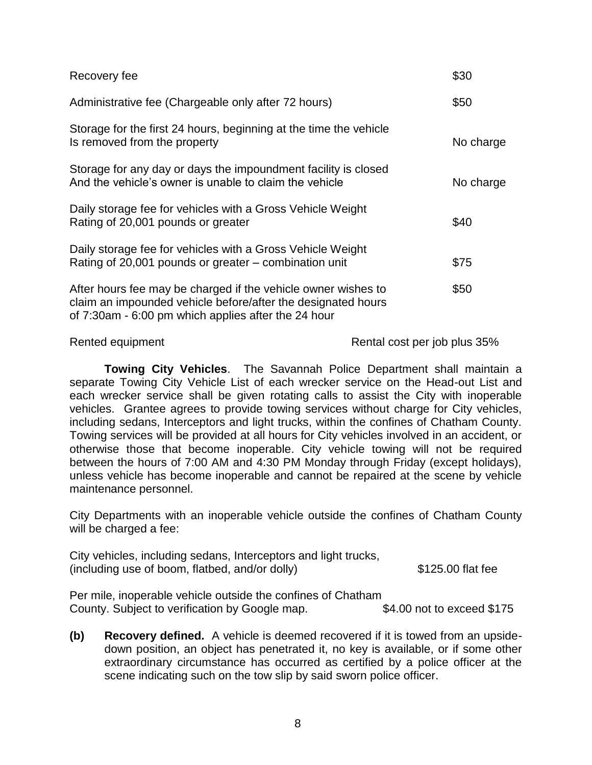| Recovery fee                                                                                                                                                                         | \$30      |
|--------------------------------------------------------------------------------------------------------------------------------------------------------------------------------------|-----------|
| Administrative fee (Chargeable only after 72 hours)                                                                                                                                  | \$50      |
| Storage for the first 24 hours, beginning at the time the vehicle<br>Is removed from the property                                                                                    | No charge |
| Storage for any day or days the impoundment facility is closed<br>And the vehicle's owner is unable to claim the vehicle                                                             | No charge |
| Daily storage fee for vehicles with a Gross Vehicle Weight<br>Rating of 20,001 pounds or greater                                                                                     | \$40      |
| Daily storage fee for vehicles with a Gross Vehicle Weight<br>Rating of 20,001 pounds or greater – combination unit                                                                  | \$75      |
| After hours fee may be charged if the vehicle owner wishes to<br>claim an impounded vehicle before/after the designated hours<br>of 7:30am - 6:00 pm which applies after the 24 hour | \$50      |

Rented equipment Rental cost per job plus 35%

**Towing City Vehicles**. The Savannah Police Department shall maintain a separate Towing City Vehicle List of each wrecker service on the Head-out List and each wrecker service shall be given rotating calls to assist the City with inoperable vehicles. Grantee agrees to provide towing services without charge for City vehicles, including sedans, Interceptors and light trucks, within the confines of Chatham County. Towing services will be provided at all hours for City vehicles involved in an accident, or otherwise those that become inoperable. City vehicle towing will not be required between the hours of 7:00 AM and 4:30 PM Monday through Friday (except holidays), unless vehicle has become inoperable and cannot be repaired at the scene by vehicle maintenance personnel.

City Departments with an inoperable vehicle outside the confines of Chatham County will be charged a fee:

City vehicles, including sedans, Interceptors and light trucks, (including use of boom, flatbed, and/or dolly) \$125.00 flat fee

Per mile, inoperable vehicle outside the confines of Chatham County. Subject to verification by Google map. \$4.00 not to exceed \$175

**(b) Recovery defined.** A vehicle is deemed recovered if it is towed from an upsidedown position, an object has penetrated it, no key is available, or if some other extraordinary circumstance has occurred as certified by a police officer at the scene indicating such on the tow slip by said sworn police officer.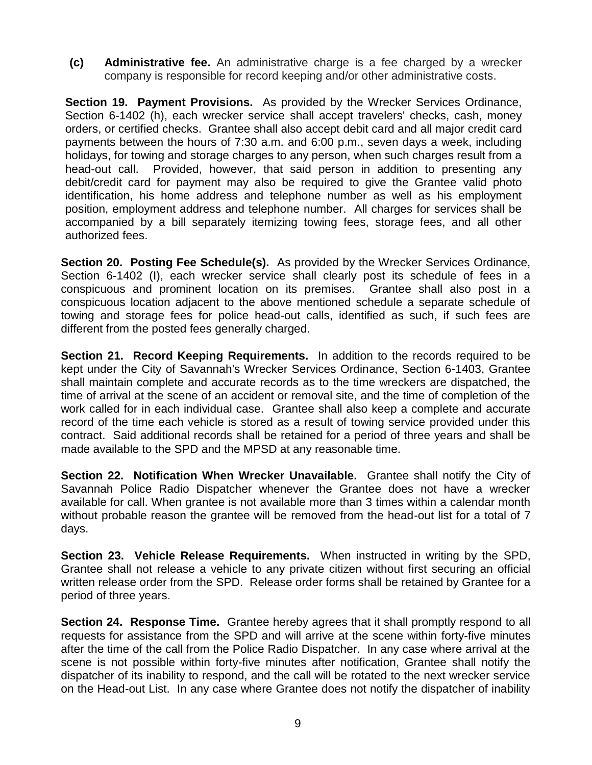**(c) Administrative fee.** An administrative charge is a fee charged by a wrecker company is responsible for record keeping and/or other administrative costs.

**Section 19. Payment Provisions.** As provided by the Wrecker Services Ordinance, Section 6-1402 (h), each wrecker service shall accept travelers' checks, cash, money orders, or certified checks. Grantee shall also accept debit card and all major credit card payments between the hours of 7:30 a.m. and 6:00 p.m., seven days a week, including holidays, for towing and storage charges to any person, when such charges result from a head-out call. Provided, however, that said person in addition to presenting any debit/credit card for payment may also be required to give the Grantee valid photo identification, his home address and telephone number as well as his employment position, employment address and telephone number. All charges for services shall be accompanied by a bill separately itemizing towing fees, storage fees, and all other authorized fees.

**Section 20. Posting Fee Schedule(s).** As provided by the Wrecker Services Ordinance, Section 6-1402 (I), each wrecker service shall clearly post its schedule of fees in a conspicuous and prominent location on its premises. Grantee shall also post in a conspicuous location adjacent to the above mentioned schedule a separate schedule of towing and storage fees for police head-out calls, identified as such, if such fees are different from the posted fees generally charged.

**Section 21. Record Keeping Requirements.** In addition to the records required to be kept under the City of Savannah's Wrecker Services Ordinance, Section 6-1403, Grantee shall maintain complete and accurate records as to the time wreckers are dispatched, the time of arrival at the scene of an accident or removal site, and the time of completion of the work called for in each individual case. Grantee shall also keep a complete and accurate record of the time each vehicle is stored as a result of towing service provided under this contract. Said additional records shall be retained for a period of three years and shall be made available to the SPD and the MPSD at any reasonable time.

**Section 22. Notification When Wrecker Unavailable.** Grantee shall notify the City of Savannah Police Radio Dispatcher whenever the Grantee does not have a wrecker available for call. When grantee is not available more than 3 times within a calendar month without probable reason the grantee will be removed from the head-out list for a total of 7 days.

**Section 23. Vehicle Release Requirements.** When instructed in writing by the SPD, Grantee shall not release a vehicle to any private citizen without first securing an official written release order from the SPD. Release order forms shall be retained by Grantee for a period of three years.

**Section 24. Response Time.** Grantee hereby agrees that it shall promptly respond to all requests for assistance from the SPD and will arrive at the scene within forty-five minutes after the time of the call from the Police Radio Dispatcher. In any case where arrival at the scene is not possible within forty-five minutes after notification, Grantee shall notify the dispatcher of its inability to respond, and the call will be rotated to the next wrecker service on the Head-out List. In any case where Grantee does not notify the dispatcher of inability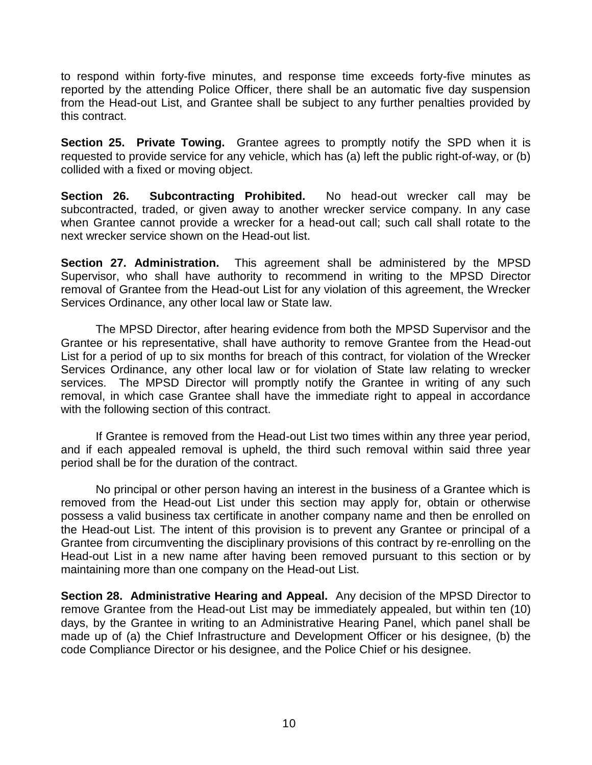to respond within forty-five minutes, and response time exceeds forty-five minutes as reported by the attending Police Officer, there shall be an automatic five day suspension from the Head-out List, and Grantee shall be subject to any further penalties provided by this contract.

**Section 25. Private Towing.** Grantee agrees to promptly notify the SPD when it is requested to provide service for any vehicle, which has (a) left the public right-of-way, or (b) collided with a fixed or moving object.

**Section 26. Subcontracting Prohibited.** No head-out wrecker call may be subcontracted, traded, or given away to another wrecker service company. In any case when Grantee cannot provide a wrecker for a head-out call; such call shall rotate to the next wrecker service shown on the Head-out list.

**Section 27. Administration.** This agreement shall be administered by the MPSD Supervisor, who shall have authority to recommend in writing to the MPSD Director removal of Grantee from the Head-out List for any violation of this agreement, the Wrecker Services Ordinance, any other local law or State law.

The MPSD Director, after hearing evidence from both the MPSD Supervisor and the Grantee or his representative, shall have authority to remove Grantee from the Head-out List for a period of up to six months for breach of this contract, for violation of the Wrecker Services Ordinance, any other local law or for violation of State law relating to wrecker services. The MPSD Director will promptly notify the Grantee in writing of any such removal, in which case Grantee shall have the immediate right to appeal in accordance with the following section of this contract.

If Grantee is removed from the Head-out List two times within any three year period, and if each appealed removal is upheld, the third such removal within said three year period shall be for the duration of the contract.

No principal or other person having an interest in the business of a Grantee which is removed from the Head-out List under this section may apply for, obtain or otherwise possess a valid business tax certificate in another company name and then be enrolled on the Head-out List. The intent of this provision is to prevent any Grantee or principal of a Grantee from circumventing the disciplinary provisions of this contract by re-enrolling on the Head-out List in a new name after having been removed pursuant to this section or by maintaining more than one company on the Head-out List.

**Section 28. Administrative Hearing and Appeal.** Any decision of the MPSD Director to remove Grantee from the Head-out List may be immediately appealed, but within ten (10) days, by the Grantee in writing to an Administrative Hearing Panel, which panel shall be made up of (a) the Chief Infrastructure and Development Officer or his designee, (b) the code Compliance Director or his designee, and the Police Chief or his designee.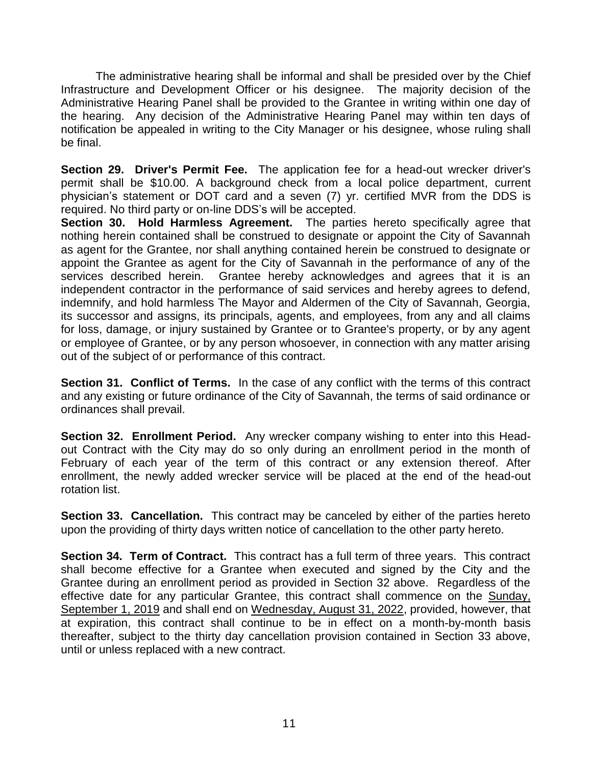The administrative hearing shall be informal and shall be presided over by the Chief Infrastructure and Development Officer or his designee. The majority decision of the Administrative Hearing Panel shall be provided to the Grantee in writing within one day of the hearing. Any decision of the Administrative Hearing Panel may within ten days of notification be appealed in writing to the City Manager or his designee, whose ruling shall be final.

**Section 29. Driver's Permit Fee.** The application fee for a head-out wrecker driver's permit shall be \$10.00. A background check from a local police department, current physician's statement or DOT card and a seven (7) yr. certified MVR from the DDS is required. No third party or on-line DDS's will be accepted.

**Section 30. Hold Harmless Agreement.** The parties hereto specifically agree that nothing herein contained shall be construed to designate or appoint the City of Savannah as agent for the Grantee, nor shall anything contained herein be construed to designate or appoint the Grantee as agent for the City of Savannah in the performance of any of the services described herein. Grantee hereby acknowledges and agrees that it is an independent contractor in the performance of said services and hereby agrees to defend, indemnify, and hold harmless The Mayor and Aldermen of the City of Savannah, Georgia, its successor and assigns, its principals, agents, and employees, from any and all claims for loss, damage, or injury sustained by Grantee or to Grantee's property, or by any agent or employee of Grantee, or by any person whosoever, in connection with any matter arising out of the subject of or performance of this contract.

**Section 31. Conflict of Terms.** In the case of any conflict with the terms of this contract and any existing or future ordinance of the City of Savannah, the terms of said ordinance or ordinances shall prevail.

**Section 32. Enrollment Period.** Any wrecker company wishing to enter into this Headout Contract with the City may do so only during an enrollment period in the month of February of each year of the term of this contract or any extension thereof. After enrollment, the newly added wrecker service will be placed at the end of the head-out rotation list.

**Section 33. Cancellation.** This contract may be canceled by either of the parties hereto upon the providing of thirty days written notice of cancellation to the other party hereto.

**Section 34. Term of Contract.** This contract has a full term of three years. This contract shall become effective for a Grantee when executed and signed by the City and the Grantee during an enrollment period as provided in Section 32 above. Regardless of the effective date for any particular Grantee, this contract shall commence on the Sunday, September 1, 2019 and shall end on Wednesday, August 31, 2022, provided, however, that at expiration, this contract shall continue to be in effect on a month-by-month basis thereafter, subject to the thirty day cancellation provision contained in Section 33 above, until or unless replaced with a new contract.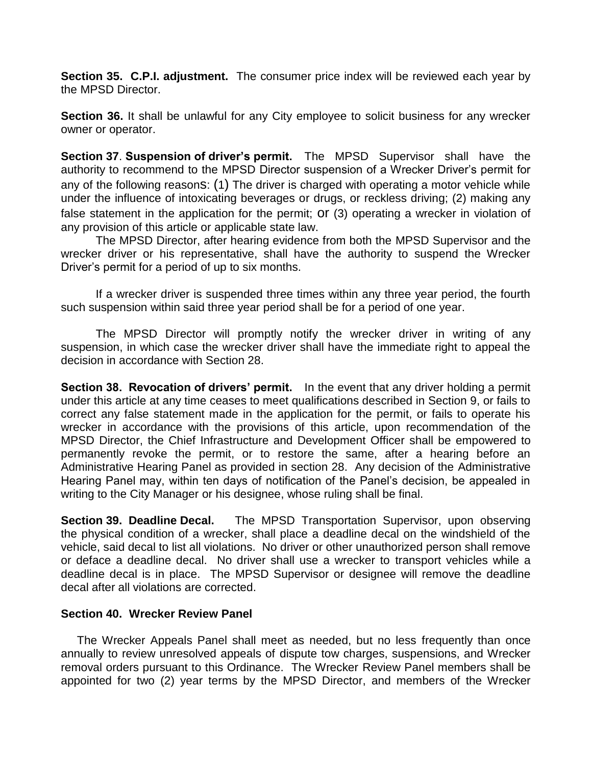**Section 35. C.P.I. adjustment.** The consumer price index will be reviewed each year by the MPSD Director.

**Section 36.** It shall be unlawful for any City employee to solicit business for any wrecker owner or operator.

**Section 37**. **Suspension of driver's permit.** The MPSD Supervisor shall have the authority to recommend to the MPSD Director suspension of a Wrecker Driver's permit for any of the following reasons: (1) The driver is charged with operating a motor vehicle while under the influence of intoxicating beverages or drugs, or reckless driving; (2) making any false statement in the application for the permit; or (3) operating a wrecker in violation of any provision of this article or applicable state law.

The MPSD Director, after hearing evidence from both the MPSD Supervisor and the wrecker driver or his representative, shall have the authority to suspend the Wrecker Driver's permit for a period of up to six months.

If a wrecker driver is suspended three times within any three year period, the fourth such suspension within said three year period shall be for a period of one year.

The MPSD Director will promptly notify the wrecker driver in writing of any suspension, in which case the wrecker driver shall have the immediate right to appeal the decision in accordance with Section 28.

**Section 38. Revocation of drivers' permit.** In the event that any driver holding a permit under this article at any time ceases to meet qualifications described in Section 9, or fails to correct any false statement made in the application for the permit, or fails to operate his wrecker in accordance with the provisions of this article, upon recommendation of the MPSD Director, the Chief Infrastructure and Development Officer shall be empowered to permanently revoke the permit, or to restore the same, after a hearing before an Administrative Hearing Panel as provided in section 28. Any decision of the Administrative Hearing Panel may, within ten days of notification of the Panel's decision, be appealed in writing to the City Manager or his designee, whose ruling shall be final.

**Section 39. Deadline Decal.** The MPSD Transportation Supervisor, upon observing the physical condition of a wrecker, shall place a deadline decal on the windshield of the vehicle, said decal to list all violations. No driver or other unauthorized person shall remove or deface a deadline decal. No driver shall use a wrecker to transport vehicles while a deadline decal is in place. The MPSD Supervisor or designee will remove the deadline decal after all violations are corrected.

### **Section 40. Wrecker Review Panel**

 The Wrecker Appeals Panel shall meet as needed, but no less frequently than once annually to review unresolved appeals of dispute tow charges, suspensions, and Wrecker removal orders pursuant to this Ordinance. The Wrecker Review Panel members shall be appointed for two (2) year terms by the MPSD Director, and members of the Wrecker